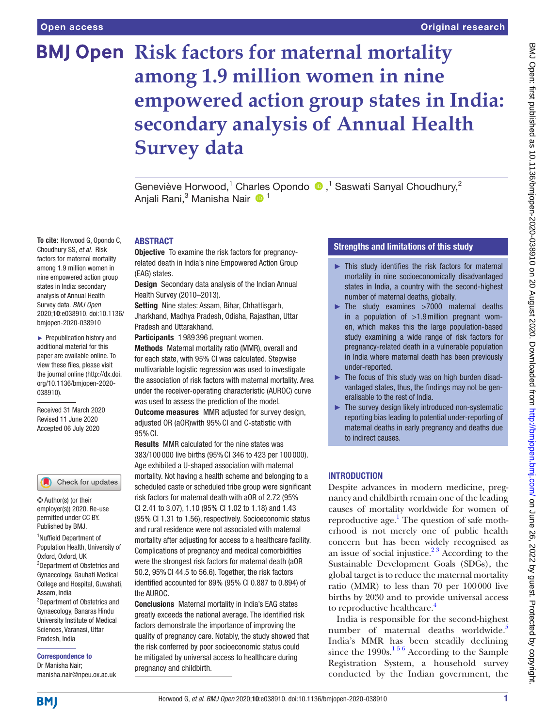**To cite:** Horwood G, Opondo C, Choudhury SS, *et al*. Risk factors for maternal mortality among 1.9 million women in nine empowered action group states in India: secondary analysis of Annual Health Survey data. *BMJ Open* 2020;10:e038910. doi:10.1136/ bmjopen-2020-038910 ► Prepublication history and additional material for this paper are available online. To view these files, please visit the journal online (http://dx.doi. org/10.1136/bmjopen-2020-

# **BMJ Open Risk factors for maternal mortality among 1.9 million women in nine empowered action group states in India: secondary analysis of Annual Health Survey data**

Geneviève Horwood,<sup>1</sup> Charles Opondo  $\bullet$ ,<sup>1</sup> Saswati Sanyal Choudhury,<sup>2</sup> Anjali Rani,<sup>3</sup> Manisha Nair �� <sup>1</sup>

# ABSTRACT

**Objective** To examine the risk factors for pregnancyrelated death in India's nine Empowered Action Group (EAG) states.

**Design** Secondary data analysis of the Indian Annual Health Survey (2010–2013).

Setting Nine states: Assam, Bihar, Chhattisgarh, Jharkhand, Madhya Pradesh, Odisha, Rajasthan, Uttar Pradesh and Uttarakhand.

Participants 1 989 396 pregnant women. Methods Maternal mortality ratio (MMR), overall and for each state, with 95% CI was calculated. Stepwise multivariable logistic regression was used to investigate the association of risk factors with maternal mortality. Area under the receiver-operating characteristic (AUROC) curve was used to assess the prediction of the model.

Outcome measures MMR adjusted for survey design, adjusted OR (aOR)with 95%CI and C-statistic with 95%CI.

Results MMR calculated for the nine states was 383/100 000 live births (95%CI 346 to 423 per 100 000). Age exhibited a U-shaped association with maternal mortality. Not having a health scheme and belonging to a scheduled caste or scheduled tribe group were significant risk factors for maternal death with aOR of 2.72 (95% CI 2.41 to 3.07), 1.10 (95% CI 1.02 to 1.18) and 1.43 (95% CI 1.31 to 1.56), respectively. Socioeconomic status and rural residence were not associated with maternal mortality after adjusting for access to a healthcare facility. Complications of pregnancy and medical comorbidities were the strongest risk factors for maternal death (aOR 50.2, 95%CI 44.5 to 56.6). Together, the risk factors identified accounted for 89% (95% CI 0.887 to 0.894) of the AUROC.

Conclusions Maternal mortality in India's EAG states greatly exceeds the national average. The identified risk factors demonstrate the importance of improving the quality of pregnancy care. Notably, the study showed that the risk conferred by poor socioeconomic status could be mitigated by universal access to healthcare during pregnancy and childbirth.

# Strengths and limitations of this study

- ► This study identifies the risk factors for maternal mortality in nine socioeconomically disadvantaged states in India, a country with the second-highest number of maternal deaths, globally.
- $\blacktriangleright$  The study examines  $>7000$  maternal deaths in a population of  $>1.9$  million pregnant women, which makes this the large population-based study examining a wide range of risk factors for pregnancy-related death in a vulnerable population in India where maternal death has been previously under-reported.
- $\blacktriangleright$  The focus of this study was on high burden disadvantaged states, thus, the findings may not be generalisable to the rest of India.
- ► The survey design likely introduced non-systematic reporting bias leading to potential under-reporting of maternal deaths in early pregnancy and deaths due to indirect causes.

## **INTRODUCTION**

Despite advances in modern medicine, pregnancy and childbirth remain one of the leading causes of mortality worldwide for women of reproductive age.<sup>1</sup> The question of safe motherhood is not merely one of public health concern but has been widely recognised as an issue of social injustice. $2^3$  According to the Sustainable Development Goals (SDGs), the global target is to reduce the maternal mortality ratio (MMR) to less than 70 per 100000 live births by 2030 and to provide universal access to reproductive healthcare.<sup>4</sup>

India is responsible for the second-highest number of maternal deaths worldwide.<sup>5</sup> India's MMR has been steadily declining since the  $1990s<sup>156</sup>$  According to the Sample Registration System, a household survey conducted by the Indian government, the

Assam, India 3 Department of Obstetrics and

038910).

Received 31 March 2020 Revised 11 June 2020 Accepted 06 July 2020

Gynaecology, Banaras Hindu University Institute of Medical Sciences, Varanasi, Uttar Pradesh, India

2 Department of Obstetrics and Gynaecology, Gauhati Medical College and Hospital, Guwahati,

Check for updates

1 Nuffield Department of Population Health, University of

© Author(s) (or their employer(s)) 2020. Re-use permitted under CC BY. Published by BMJ.

Oxford, Oxford, UK

Correspondence to Dr Manisha Nair; manisha.nair@npeu.ox.ac.uk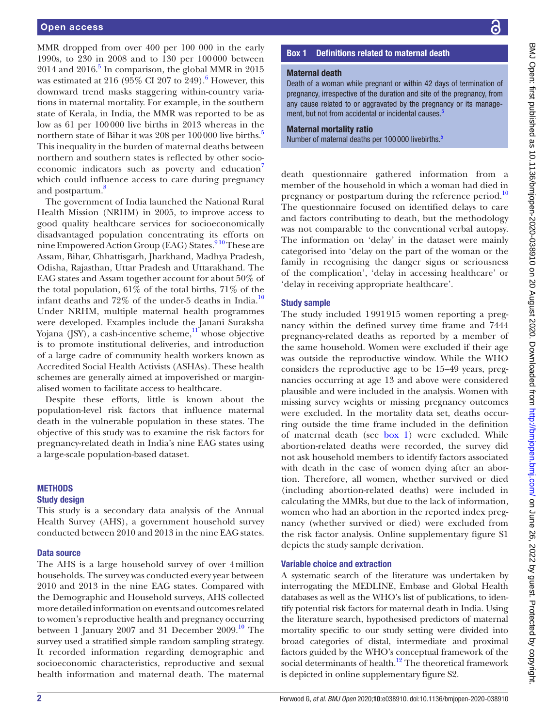MMR dropped from over 400 per 100 000 in the early 1990s, to 230 in 2008 and to 130 per 100000 between  $2014$  and  $2016<sup>5</sup>$  $2016<sup>5</sup>$  $2016<sup>5</sup>$  In comparison, the global MMR in  $2015$ was estimated at 21[6](#page-8-4) ( $95\%$  CI 207 to 249).<sup>6</sup> However, this downward trend masks staggering within-country variations in maternal mortality. For example, in the southern state of Kerala, in India, the MMR was reported to be as low as 61 per 100000 live births in 2013 whereas in the northern state of Bihar it was 208 per 100 000 live births.<sup>[5](#page-8-3)</sup> This inequality in the burden of maternal deaths between northern and southern states is reflected by other socio-economic indicators such as poverty and education<sup>[7](#page-8-5)</sup> which could influence access to care during pregnancy and postpartum.<sup>[8](#page-8-6)</sup>

The government of India launched the National Rural Health Mission (NRHM) in 2005, to improve access to good quality healthcare services for socioeconomically disadvantaged population concentrating its efforts on nine Empowered Action Group (EAG) States.<sup>910</sup> These are Assam, Bihar, Chhattisgarh, Jharkhand, Madhya Pradesh, Odisha, Rajasthan, Uttar Pradesh and Uttarakhand. The EAG states and Assam together account for about 50% of the total population,  $61\%$  of the total births,  $71\%$  of the infant deaths and 72% of the under-5 deaths in India.[10](#page-8-8) Under NRHM, multiple maternal health programmes were developed. Examples include the Janani Suraksha Yojana (JSY), a cash-incentive scheme, $\frac{11}{11}$  $\frac{11}{11}$  $\frac{11}{11}$  whose objective is to promote institutional deliveries, and introduction of a large cadre of community health workers known as Accredited Social Health Activists (ASHAs). These health schemes are generally aimed at impoverished or marginalised women to facilitate access to healthcare.

Despite these efforts, little is known about the population-level risk factors that influence maternal death in the vulnerable population in these states. The objective of this study was to examine the risk factors for pregnancy-related death in India's nine EAG states using a large-scale population-based dataset.

# **METHODS**

### Study design

This study is a secondary data analysis of the Annual Health Survey (AHS), a government household survey conducted between 2010 and 2013 in the nine EAG states.

### Data source

The AHS is a large household survey of over 4million households. The survey was conducted every year between 2010 and 2013 in the nine EAG states. Compared with the Demographic and Household surveys, AHS collected more detailed information on events and outcomes related to women's reproductive health and pregnancy occurring between 1 January 2007 and 31 December  $2009$ .<sup>10</sup> The survey used a stratified simple random sampling strategy. It recorded information regarding demographic and socioeconomic characteristics, reproductive and sexual health information and maternal death. The maternal

# Box 1 Definitions related to maternal death

# <span id="page-1-0"></span>Maternal death

Death of a woman while pregnant or within 42 days of termination of pregnancy, irrespective of the duration and site of the pregnancy, from any cause related to or aggravated by the pregnancy or its manage-ment, but not from accidental or incidental causes.<sup>[5](#page-8-3)</sup>

## Maternal mortality ratio

Number of maternal deaths per 100 000 livebirths.<sup>[5](#page-8-3)</sup>

death questionnaire gathered information from a member of the household in which a woman had died in pregnancy or postpartum during the reference period.<sup>[10](#page-8-8)</sup> The questionnaire focused on identified delays to care and factors contributing to death, but the methodology was not comparable to the conventional verbal autopsy. The information on 'delay' in the dataset were mainly categorised into 'delay on the part of the woman or the family in recognising the danger signs or seriousness of the complication', 'delay in accessing healthcare' or 'delay in receiving appropriate healthcare'.

## Study sample

The study included 1991915 women reporting a pregnancy within the defined survey time frame and 7444 pregnancy-related deaths as reported by a member of the same household. Women were excluded if their age was outside the reproductive window. While the WHO considers the reproductive age to be 15–49 years, pregnancies occurring at age 13 and above were considered plausible and were included in the analysis. Women with missing survey weights or missing pregnancy outcomes were excluded. In the mortality data set, deaths occurring outside the time frame included in the definition of maternal death (see [box](#page-1-0) 1) were excluded. While abortion-related deaths were recorded, the survey did not ask household members to identify factors associated with death in the case of women dying after an abortion. Therefore, all women, whether survived or died (including abortion-related deaths) were included in calculating the MMRs, but due to the lack of information, women who had an abortion in the reported index pregnancy (whether survived or died) were excluded from the risk factor analysis. [Online supplementary figure S1](https://dx.doi.org/10.1136/bmjopen-2020-038910)  depicts the study sample derivation.

### Variable choice and extraction

A systematic search of the literature was undertaken by interrogating the MEDLINE, Embase and Global Health databases as well as the WHO's list of publications, to identify potential risk factors for maternal death in India. Using the literature search, hypothesised predictors of maternal mortality specific to our study setting were divided into broad categories of distal, intermediate and proximal factors guided by the WHO's conceptual framework of the social determinants of health.<sup>12</sup> The theoretical framework is depicted in [online supplementary figure S2](https://dx.doi.org/10.1136/bmjopen-2020-038910).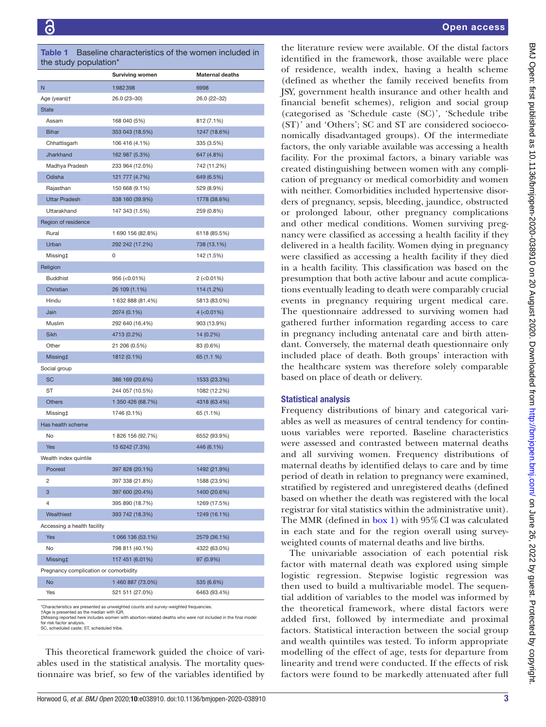<span id="page-2-0"></span>

| <b>Table 1</b> Baseline characteristics of the women included in |
|------------------------------------------------------------------|
| the study population*                                            |

| trie stuuy population                 |                        |                        |
|---------------------------------------|------------------------|------------------------|
|                                       | <b>Surviving women</b> | <b>Maternal deaths</b> |
| N.                                    | 1982398                | 6998                   |
| Age (years)†                          | 26.0 (23-30)           | 26.0 (22-32)           |
| <b>State</b>                          |                        |                        |
| Assam                                 | 168 040 (5%)           | 812 (7.1%)             |
| <b>Bihar</b>                          | 353 043 (18.5%)        | 1247 (18.6%)           |
| Chhattisgarh                          | 106 416 (4.1%)         | 335 (3.5%)             |
| Jharkhand                             | 162 987 (5.3%)         | 647 (4.8%)             |
| Madhya Pradesh                        | 233 964 (12.0%)        | 742 (11.2%)            |
| Odisha                                | 121 777 (4.7%)         | 649 (6.5%)             |
| Rajasthan                             | 150 668 (9.1%)         | 529 (8.9%)             |
| <b>Uttar Pradesh</b>                  | 538 160 (39.9%)        | 1778 (38.6%)           |
| Uttarakhand                           | 147 343 (1.5%)         | 259 (0.8%)             |
| Region of residence                   |                        |                        |
| Rural                                 | 1 690 156 (82.8%)      | 6118 (85.5%)           |
| Urban                                 | 292 242 (17.2%)        | 738 (13.1%)            |
| Missing‡                              | 0                      | 142 (1.5%)             |
| Religion                              |                        |                        |
| <b>Buddhist</b>                       | 956 (< 0.01%)          | $2 (-0.01\%)$          |
| Christian                             | 26 109 (1.1%)          | 114 (1.2%)             |
| Hindu                                 | 1 632 888 (81.4%)      |                        |
|                                       |                        | 5813 (83.0%)           |
| Jain                                  | 2074 (0.1%)            | $4$ (<0.01%)           |
| Muslim                                | 292 640 (16.4%)        | 903 (13.9%)            |
| Sikh                                  | 4713 (0.2%)            | 14 (0.2%)              |
| Other                                 | 21 206 (0.5%)          | 83 (0.6%)              |
| Missing‡                              | 1812 (0.1%)            | 65 (1.1 %)             |
| Social group                          |                        |                        |
| <b>SC</b>                             | 386 169 (20.6%)        | 1533 (23.3%)           |
| ST                                    | 244 057 (10.5%)        | 1082 (12.2%)           |
| <b>Others</b>                         | 1 350 426 (68.7%)      | 4318 (63.4%)           |
| Missing‡                              | 1746 (0.1%)            | 65 (1.1%)              |
| Has health scheme                     |                        |                        |
| No                                    | 1826 156 (92.7%)       | 6552 (93.9%)           |
| Yes                                   | 15 6242 (7.3%)         | 446 (6.1%)             |
| Wealth index quintile                 |                        |                        |
| Poorest                               | 397 828 (20.1%)        | 1492 (21.9%)           |
| 2                                     | 397 338 (21.8%)        | 1588 (23.9%)           |
| 3                                     | 397 600 (20.4%)        | 1400 (20.6%)           |
| 4                                     | 395 890 (18.7%)        | 1269 (17.5%)           |
| Wealthiest                            | 393 742 (18.3%)        | 1249 (16.1%)           |
| Accessing a health facility           |                        |                        |
| <b>Yes</b>                            | 1 066 136 (53.1%)      | 2579 (36.1%)           |
| No                                    | 798 811 (40.1%)        | 4322 (63.0%)           |
| Missing‡                              | 117 451 (6.01%)        | 97 (0.9%)              |
| Pregnancy complication or comorbidity |                        |                        |
| No                                    | 1 460 887 (73.0%)      | 535 (6.6%)             |
| Yes                                   | 521 511 (27.0%)        | 6463 (93.4%)           |
|                                       |                        |                        |

\*Characteristics are presented as unweighted counts and survey-weighted frequencies. †Age is presented as the median with IQR.

‡Missing reported here includes women with abortion-related deaths who were not included in the final model for risk factor analysis. SC, scheduled caste; ST, scheduled tribe.

This theoretical framework guided the choice of variables used in the statistical analysis. The mortality questionnaire was brief, so few of the variables identified by

the literature review were available. Of the distal factors identified in the framework, those available were place of residence, wealth index, having a health scheme (defined as whether the family received benefits from JSY, government health insurance and other health and financial benefit schemes), religion and social group (categorised as 'Schedule caste (SC)', 'Schedule tribe (ST)' and 'Others'; SC and ST are considered socioeconomically disadvantaged groups). Of the intermediate factors, the only variable available was accessing a health facility. For the proximal factors, a binary variable was created distinguishing between women with any complication of pregnancy or medical comorbidity and women with neither. Comorbidities included hypertensive disorders of pregnancy, sepsis, bleeding, jaundice, obstructed or prolonged labour, other pregnancy complications and other medical conditions. Women surviving pregnancy were classified as accessing a health facility if they delivered in a health facility. Women dying in pregnancy were classified as accessing a health facility if they died in a health facility. This classification was based on the presumption that both active labour and acute complications eventually leading to death were comparably crucial events in pregnancy requiring urgent medical care. The questionnaire addressed to surviving women had gathered further information regarding access to care in pregnancy including antenatal care and birth attendant. Conversely, the maternal death questionnaire only included place of death. Both groups' interaction with the healthcare system was therefore solely comparable based on place of death or delivery.

# Statistical analysis

Frequency distributions of binary and categorical variables as well as measures of central tendency for continuous variables were reported. Baseline characteristics were assessed and contrasted between maternal deaths and all surviving women. Frequency distributions of maternal deaths by identified delays to care and by time period of death in relation to pregnancy were examined, stratified by registered and unregistered deaths (defined based on whether the death was registered with the local registrar for vital statistics within the administrative unit). The MMR (defined in [box](#page-1-0) 1) with 95%CI was calculated in each state and for the region overall using surveyweighted counts of maternal deaths and live births.

The univariable association of each potential risk factor with maternal death was explored using simple logistic regression. Stepwise logistic regression was then used to build a multivariable model. The sequential addition of variables to the model was informed by the theoretical framework, where distal factors were added first, followed by intermediate and proximal factors. Statistical interaction between the social group and wealth quintiles was tested. To inform appropriate modelling of the effect of age, tests for departure from linearity and trend were conducted. If the effects of risk factors were found to be markedly attenuated after full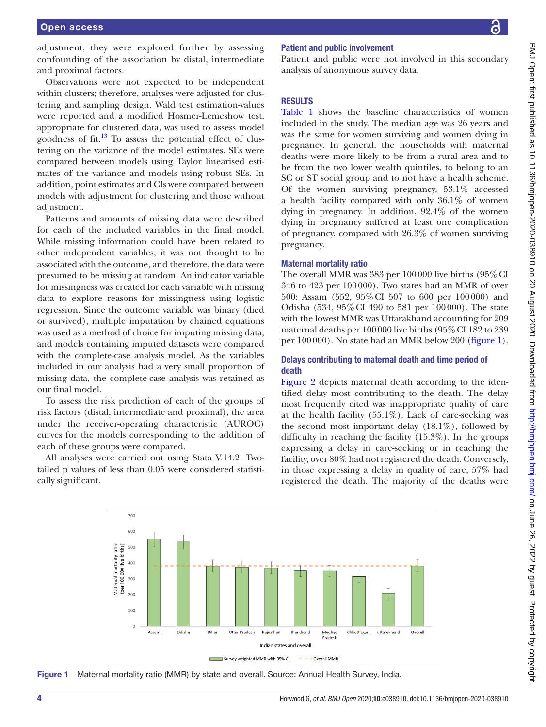adjustment, they were explored further by assessing confounding of the association by distal, intermediate and proximal factors.

Observations were not expected to be independent within clusters; therefore, analyses were adjusted for clustering and sampling design. Wald test estimation-values were reported and a modified Hosmer-Lemeshow test, appropriate for clustered data, was used to assess model goodness of fit. $^{13}$  $^{13}$  $^{13}$  To assess the potential effect of clustering on the variance of the model estimates, SEs were compared between models using Taylor linearised estimates of the variance and models using robust SEs. In addition, point estimates and CIs were compared between models with adjustment for clustering and those without adjustment.

Patterns and amounts of missing data were described for each of the included variables in the final model. While missing information could have been related to other independent variables, it was not thought to be associated with the outcome, and therefore, the data were presumed to be missing at random. An indicator variable for missingness was created for each variable with missing data to explore reasons for missingness using logistic regression. Since the outcome variable was binary (died or survived), multiple imputation by chained equations was used as a method of choice for imputing missing data, and models containing imputed datasets were compared with the complete-case analysis model. As the variables included in our analysis had a very small proportion of missing data, the complete-case analysis was retained as our final model.

To assess the risk prediction of each of the groups of risk factors (distal, intermediate and proximal), the area under the receiver-operating characteristic (AUROC) curves for the models corresponding to the addition of each of these groups were compared.

All analyses were carried out using Stata V.14.2. Twotailed p values of less than 0.05 were considered statistically significant.

## Patient and public involvement

Patient and public were not involved in this secondary analysis of anonymous survey data.

# RESULTS

[Table](#page-2-0) 1 shows the baseline characteristics of women included in the study. The median age was 26 years and was the same for women surviving and women dying in pregnancy. In general, the households with maternal deaths were more likely to be from a rural area and to be from the two lower wealth quintiles, to belong to an SC or ST social group and to not have a health scheme. Of the women surviving pregnancy, 53.1% accessed a health facility compared with only 36.1% of women dying in pregnancy. In addition, 92.4% of the women dying in pregnancy suffered at least one complication of pregnancy, compared with 26.3% of women surviving pregnancy.

### Maternal mortality ratio

The overall MMR was 383 per 100 000 live births (95% CI 346 to 423 per 100000). Two states had an MMR of over 500: Assam (552, 95%CI 507 to 600 per 100000) and Odisha (534, 95%CI 490 to 581 per 100000). The state with the lowest MMR was Uttarakhand accounting for 209 maternal deaths per 100000 live births (95%CI 182 to 239 per 100000). No state had an MMR below 200 ([figure](#page-3-0) 1).

# Delays contributing to maternal death and time period of death

[Figure](#page-4-0) 2 depicts maternal death according to the identified delay most contributing to the death. The delay most frequently cited was inappropriate quality of care at the health facility (55.1%). Lack of care-seeking was the second most important delay  $(18.1\%)$ , followed by difficulty in reaching the facility (15.3%). In the groups expressing a delay in care-seeking or in reaching the facility, over 80% had not registered the death. Conversely, in those expressing a delay in quality of care, 57% had registered the death. The majority of the deaths were



<span id="page-3-0"></span>Figure 1 Maternal mortality ratio (MMR) by state and overall. Source: Annual Health Survey, India.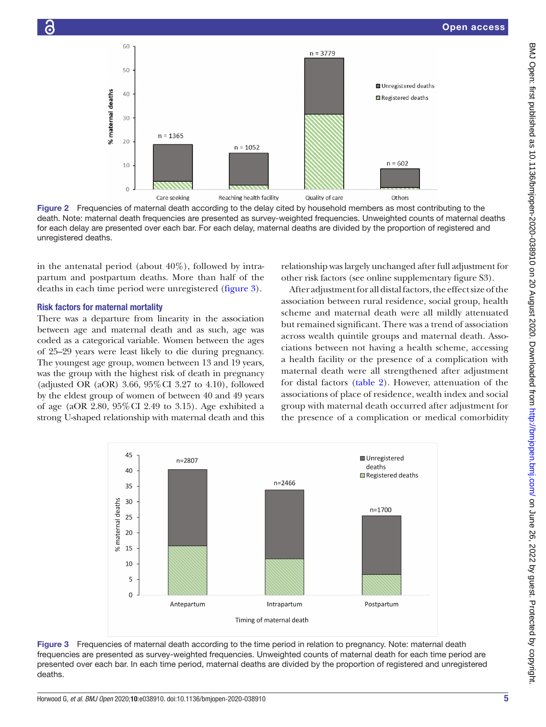

Figure 2 Frequencies of maternal death according to the delay cited by household members as most contributing to the death. Note: maternal death frequencies are presented as survey-weighted frequencies. Unweighted counts of maternal deaths for each delay are presented over each bar. For each delay, maternal deaths are divided by the proportion of registered and unregistered deaths.

in the antenatal period (about  $40\%$ ), followed by intrapartum and postpartum deaths. More than half of the deaths in each time period were unregistered [\(figure](#page-4-1) 3).

#### Risk factors for maternal mortality

There was a departure from linearity in the association between age and maternal death and as such, age was coded as a categorical variable. Women between the ages of 25–29 years were least likely to die during pregnancy. The youngest age group, women between 13 and 19 years, was the group with the highest risk of death in pregnancy (adjusted OR (aOR) 3.66, 95%CI 3.27 to 4.10), followed by the eldest group of women of between 40 and 49 years of age (aOR 2.80, 95%CI 2.49 to 3.15). Age exhibited a strong U-shaped relationship with maternal death and this <span id="page-4-0"></span>relationship was largely unchanged after full adjustment for other risk factors (see [online supplementary figure S3\)](https://dx.doi.org/10.1136/bmjopen-2020-038910).

After adjustment for all distal factors, the effect size of the association between rural residence, social group, health scheme and maternal death were all mildly attenuated but remained significant. There was a trend of association across wealth quintile groups and maternal death. Associations between not having a health scheme, accessing a health facility or the presence of a complication with maternal death were all strengthened after adjustment for distal factors ([table](#page-5-0) 2). However, attenuation of the associations of place of residence, wealth index and social group with maternal death occurred after adjustment for the presence of a complication or medical comorbidity



<span id="page-4-1"></span>Figure 3 Frequencies of maternal death according to the time period in relation to pregnancy. Note: maternal death frequencies are presented as survey-weighted frequencies. Unweighted counts of maternal death for each time period are presented over each bar. In each time period, maternal deaths are divided by the proportion of registered and unregistered deaths.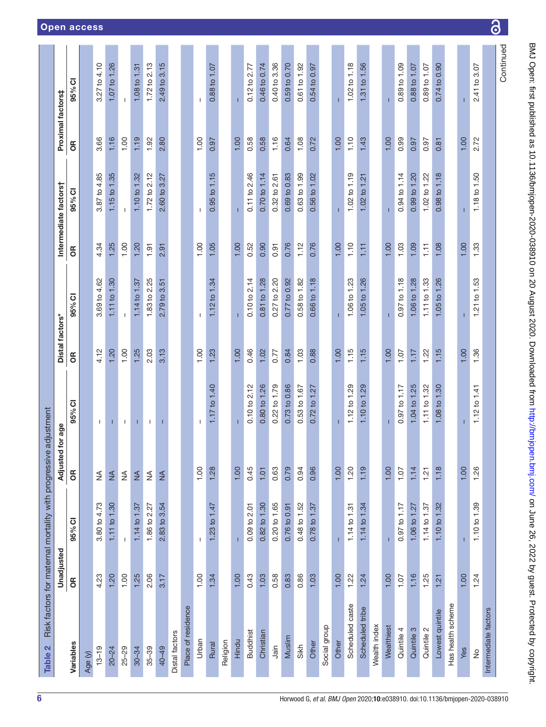<span id="page-5-0"></span>

| $\mathbf{N}$<br><b>Table</b> |            | Risk factors for maternal mortality with progressive |                     | adjustment       |                 |                  |                |                      |                   |                  |
|------------------------------|------------|------------------------------------------------------|---------------------|------------------|-----------------|------------------|----------------|----------------------|-------------------|------------------|
|                              | Unadjusted |                                                      | for age<br>Adjusted |                  | Distal factors* |                  |                | Intermediate factors | Proximal factors‡ |                  |
| Variables                    | 6R         | ᡖ<br>95%                                             | $\epsilon$          | ō<br>95%         | δR              | 95% CI           | 6R             | 95% CI               | 6R                | ō<br>95%         |
| Age (y)                      |            |                                                      |                     |                  |                 |                  |                |                      |                   |                  |
| $13 - 19$                    | 4.23       | 3.80 to 4.73                                         | ₹                   | $\mathbf{I}$     | 4.12            | 3.69 to 4.62     | 4.34           | 3.87 to 4.85         | 3.66              | 3.27 to 4.10     |
| $20 - 24$                    | 1.20       | 1.11 to 1.30                                         | $\lessgtr$          | т                | 1.20            | 1.11 to 1.30     | 1.25           | $1.15$ to $1.35$     | 1.16              | 1.07 to 1.26     |
| $25 - 29$                    | 1.00       | Τ.                                                   | ₹                   | Τ.               | 1.00            |                  | 1.00           |                      | 1.00              |                  |
| $30 - 34$                    | 1.25       | 1.14 to 1.37                                         | $\lessgtr$          | T                | 1.25            | 1.14 to 1.37     | 1.20           | 1.10 to 1.32         | 1.19              | 1.08 to 1.31     |
| $35 - 39$                    | 2.06       | 1.86 to 2.27                                         | $\lessgtr$          | Τ.               | 2.03            | 1.83 to 2.25     | 1.91           | $1.72$ to $2.12$     | 1.92              | $1.72$ to $2.13$ |
| 40-49                        | 3.17       | 2.83 to 3.54                                         | $\frac{4}{2}$       | т                | 3.13            | 2.79 to 3.51     | 2.91           | 2.60 to 3.27         | 2.80              | 2.49 to 3.15     |
| Distal factors               |            |                                                      |                     |                  |                 |                  |                |                      |                   |                  |
| Place of residence           |            |                                                      |                     |                  |                 |                  |                |                      |                   |                  |
| Urban                        | 1,00       | $\mathbf{I}$                                         | 1.00                |                  | 1.00            | T                | 1.00           |                      | 1.00              |                  |
| Rural                        | 1.34       | 1.23 to 1.47                                         | 1.28                | 1.17 to 1.40     | 1.23            | 1.12 to 1.34     | 1.05           | $0.95$ to $1.15$     | 0.97              | 0.88 to 1.07     |
| Religion                     |            |                                                      |                     |                  |                 |                  |                |                      |                   |                  |
| Hindu                        | 1.00       |                                                      | 1.00                |                  | 1.00            |                  | 1,00           |                      | 1,00              |                  |
| <b>Buddhist</b>              | 0.43       | 0.09 to 2.01                                         | 0.45                | $0.10$ to $2.12$ | 0.46            | $0.10$ to $2.14$ | 0.52           | 0.11 to 2.46         | 0.58              | $0.12$ to $2.77$ |
| Christian                    | 1.03       | $0.82$ to $1.30$                                     | 1.01                | 0.80 to 1.26     | 1.02            | 0.81 to 1.28     | 0.90           | 0.70 to 1.14         | 0.58              | 0.46 to 0.74     |
| Jain                         | 0.58       | 0.20 to 1.65                                         | 0.63                | $0.22$ to $1.79$ | 0.77            | 0.27 to 2.20     | 0.91           | 0.32 to 2.61         | 1.16              | 0.40 to 3.36     |
| Muslim                       | 0.83       | 0.76 to 0.91                                         | 0.79                | 0.73 to 0.86     | 0.84            | 0.77 to 0.92     | 0.76           | 0.69 to 0.83         | 0.64              | 0.59 to 0.70     |
| Sikh                         | 0.86       | 0.48 to 1.52                                         | 0.94                | 0.53 to 1.67     | 1.03            | 0.58 to 1.82     | 1.12           | 0.63 to 1.99         | 1.08              | 0.61 to 1.92     |
| Other                        | 1.03       | 0.78 to 1.37                                         | 0.96                | $0.72$ to $1.27$ | 0.88            | 0.66 to 1.18     | 0.76           | 0.56 to 1.02         | 0.72              | 0.54 to 0.97     |
| Social group                 |            |                                                      |                     |                  |                 |                  |                |                      |                   |                  |
| Other                        | 1,00       | T                                                    | 1,00                | п                | 1.00            |                  | 1,00           | т                    | 1,00              | т                |
| Scheduled caste              | 1.22       | 1.14 to 1.31                                         | .20                 | 1.12 to 1.29     | 1.15            | 1.06 to 1.23     | 1.10           | 1.02 to 1.19         | 1.10              | 1.02 to 1.18     |
| Scheduled tribe              | 1.24       | 1.14 to 1.34                                         | 1.19                | 1.10 to 1.29     | 1.15            | $1.05$ to $1.26$ | 1.11           | $1.02$ to $1.21$     | 1.43              | 1.31 to 1.56     |
| Wealth index                 |            |                                                      |                     |                  |                 |                  |                |                      |                   |                  |
| Wealthiest                   | 1,00       | T                                                    | 1.00                |                  | 1.00            |                  | 1,00           | п                    | 1.00              | п                |
| Quintile 4                   | 1.07       | 0.97 to 1.17                                         | 1.07                | $0.97$ to $1.17$ | 1.07            | $0.97$ to $1.18$ | 1.03           | $0.94$ to 1.14       | 0.99              | 0.89 to 1.09     |
| Quintile 3                   | 1.16       | 1.06 to 1.27                                         | 1.14                | 1.04 to 1.25     | 1.17            | 1.06 to 1.28     | 1.09           | $0.99$ to 1.20       | 0.97              | 0.88 to 1.07     |
| Quintile 2                   | 1.25       | 1.14 to 1.37                                         | ζj                  | 1.11 to 1.32     | 1.22            | 1.11 to 1.33     | 1.11           | 1.02 to 1.22         | 0.97              | 0.89 to 1.07     |
| Lowest quintile              | 1.21       | 1.10 to 1.32                                         | 1.18                | 1.08 to 1.30     | 1.15            | 1.05 to 1.26     | 1.08           | $0.98$ to $1.18$     | 0.81              | 0.74 to 0.90     |
| Has health scheme            |            |                                                      |                     |                  |                 |                  |                |                      |                   |                  |
| Yes                          | 1,00       | T.                                                   | 1.00                | П                | 1.00            | п                | $\overline{5}$ | T                    | 1.00              | п                |
| $\frac{1}{2}$                | 1.24       | 1.10 to 1.39                                         | 1.26                | 1.12 to 1.41     | 1.36            | 1.21 to 1.53     | 1.33           | 1.18 to 1.50         | 2.72              | 2.41 to 3.07     |
| Intermediate factors         |            |                                                      |                     |                  |                 |                  |                |                      |                   |                  |
|                              |            |                                                      |                     |                  |                 |                  |                |                      |                   | Continued        |

BMJ Open: first published as 10.1136/bmjopen-2020-038910 on 20 August 2020. Downloaded from <http://bmjopen.bmj.com/> on June 26, 2022 by guest. Protected by copyright.

BMJ Open: first published as 10.1136/bmjopen-2020-038910 on 20 August 2020. Downloaded from http://bmjopen.bmj.com/ on June 26, 2022 by guest. Protected by copyright.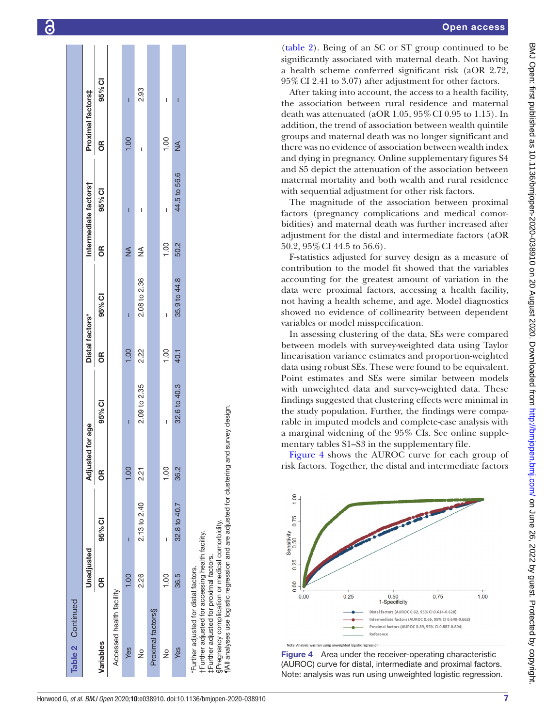| Table 2 Continued                                                                                                                                                                                                                                                    |            |              |                  |                |                 |              |               |                       |                   |        |
|----------------------------------------------------------------------------------------------------------------------------------------------------------------------------------------------------------------------------------------------------------------------|------------|--------------|------------------|----------------|-----------------|--------------|---------------|-----------------------|-------------------|--------|
|                                                                                                                                                                                                                                                                      | Unadjusted |              | Adjusted for age |                | Distal factors* |              |               | Intermediate factors+ | Proximal factors‡ |        |
| Variables                                                                                                                                                                                                                                                            | õ          | 95% CI       | g                | 95% CI         | õ               | 95% CI       | g             | 95% CI                | $\frac{1}{2}$     | 95% CI |
| Accessed health facility                                                                                                                                                                                                                                             |            |              |                  |                |                 |              |               |                       |                   |        |
| Yes                                                                                                                                                                                                                                                                  | 1.00       | Ī            | 1.00             | Ī              | 1.00            | Ī            | $\frac{4}{5}$ | Ī                     | 1.00              | Ī      |
| $\frac{1}{2}$                                                                                                                                                                                                                                                        | 2.26       | 2.13 to 2.40 | 2.21             | 2.09 to 2.35   | 2.22            | 2.08 to 2.36 | ≸             | ı                     | I                 | 2.93   |
| Proximal factors§                                                                                                                                                                                                                                                    |            |              |                  |                |                 |              |               |                       |                   |        |
| $\frac{1}{2}$                                                                                                                                                                                                                                                        | 1.00       | I            | 1.00             | I              | 1.00            | I            | 1.00          | I                     | 1.00              | I      |
| Yes                                                                                                                                                                                                                                                                  | 36.5       | 32.8 to 40.7 | 36.2             | 32.6 to 40.3   | 40.1            | 35.9 to 44.8 | 50.2          | 44.5 to 56.6          | $\frac{1}{2}$     | I      |
| [All analyses use logistic regression and are adjusted for clustering and<br>§Pregnancy complication or medical comorbidity.<br>tFurther adjusted for accessing health facility.<br>‡Further adjusted for proximal factors.<br>*Further adjusted for distal factors. |            |              |                  | survey design. |                 |              |               |                       |                   |        |

[\(table](#page-5-0) 2). Being of an SC or ST group continued to be significantly associated with maternal death. Not having a health scheme conferred significant risk (aOR 2.72, 95%CI 2.41 to 3.07) after adjustment for other factors.

After taking into account, the access to a health facility, the association between rural residence and maternal death was attenuated (aOR  $1.05$ ,  $95\%$  CI 0.95 to 1.15). In addition, the trend of association between wealth quintile groups and maternal death was no longer significant and there was no evidence of association between wealth index and dying in pregnancy. [Online supplementary figures S4](https://dx.doi.org/10.1136/bmjopen-2020-038910)  [and S5](https://dx.doi.org/10.1136/bmjopen-2020-038910) depict the attenuation of the association between maternal mortality and both wealth and rural residence with sequential adjustment for other risk factors.

The magnitude of the association between proximal factors (pregnancy complications and medical comorbidities) and maternal death was further increased after adjustment for the distal and intermediate factors (aOR 50.2, 95%CI 44.5 to 56.6).

F-statistics adjusted for survey design as a measure of contribution to the model fit showed that the variables accounting for the greatest amount of variation in the data were proximal factors, accessing a health facility, not having a health scheme, and age. Model diagnostics showed no evidence of collinearity between dependent variables or model misspecification.

In assessing clustering of the data, SEs were compared between models with survey-weighted data using Taylor linearisation variance estimates and proportion-weighted data using robust SEs. These were found to be equivalent. Point estimates and SEs were similar between models with unweighted data and survey-weighted data. These findings suggested that clustering effects were minimal in the study population. Further, the findings were comparable in imputed models and complete-case analysis with a marginal widening of the 95% CIs. See [online supple](https://dx.doi.org/10.1136/bmjopen-2020-038910) [mentary tables S1–S3](https://dx.doi.org/10.1136/bmjopen-2020-038910) in the supplementary file.

[Figure](#page-6-0) 4 shows the AUROC curve for each group of risk factors. Together, the distal and intermediate factors



<span id="page-6-0"></span>Figure 4 Area under the receiver-operating characteristic (AUROC) curve for distal, intermediate and proximal factors. Note: analysis was run using unweighted logistic regression.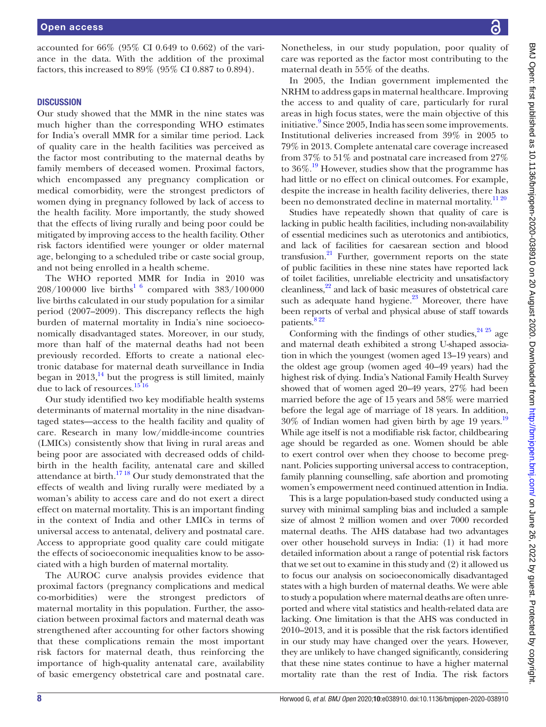accounted for 66% (95% CI 0.649 to 0.662) of the variance in the data. With the addition of the proximal factors, this increased to 89% (95% CI 0.887 to 0.894).

#### **DISCUSSION**

Our study showed that the MMR in the nine states was much higher than the corresponding WHO estimates for India's overall MMR for a similar time period. Lack of quality care in the health facilities was perceived as the factor most contributing to the maternal deaths by family members of deceased women. Proximal factors, which encompassed any pregnancy complication or medical comorbidity, were the strongest predictors of women dying in pregnancy followed by lack of access to the health facility. More importantly, the study showed that the effects of living rurally and being poor could be mitigated by improving access to the health facility. Other risk factors identified were younger or older maternal age, belonging to a scheduled tribe or caste social group, and not being enrolled in a health scheme.

The WHO reported MMR for India in 2010 was  $208/100000$  live births<sup>1 6</sup> compared with  $383/100000$ live births calculated in our study population for a similar period (2007–2009). This discrepancy reflects the high burden of maternal mortality in India's nine socioeconomically disadvantaged states. Moreover, in our study, more than half of the maternal deaths had not been previously recorded. Efforts to create a national electronic database for maternal death surveillance in India began in  $2013<sup>14</sup>$  but the progress is still limited, mainly due to lack of resources.<sup>1516</sup>

Our study identified two key modifiable health systems determinants of maternal mortality in the nine disadvantaged states—access to the health facility and quality of care. Research in many low/middle-income countries (LMICs) consistently show that living in rural areas and being poor are associated with decreased odds of childbirth in the health facility, antenatal care and skilled attendance at birth. $1718$  Our study demonstrated that the effects of wealth and living rurally were mediated by a woman's ability to access care and do not exert a direct effect on maternal mortality. This is an important finding in the context of India and other LMICs in terms of universal access to antenatal, delivery and postnatal care. Access to appropriate good quality care could mitigate the effects of socioeconomic inequalities know to be associated with a high burden of maternal mortality.

The AUROC curve analysis provides evidence that proximal factors (pregnancy complications and medical co-morbidities) were the strongest predictors of maternal mortality in this population. Further, the association between proximal factors and maternal death was strengthened after accounting for other factors showing that these complications remain the most important risk factors for maternal death, thus reinforcing the importance of high-quality antenatal care, availability of basic emergency obstetrical care and postnatal care.

Nonetheless, in our study population, poor quality of care was reported as the factor most contributing to the maternal death in 55% of the deaths.

In 2005, the Indian government implemented the NRHM to address gaps in maternal healthcare. Improving the access to and quality of care, particularly for rural areas in high focus states, were the main objective of this initiative.<sup>9</sup> Since 2005, India has seen some improvements. Institutional deliveries increased from 39% in 2005 to 79% in 2013. Complete antenatal care coverage increased from 37% to 51% and postnatal care increased from 27% to 36%.<sup>[19](#page-8-15)</sup> However, studies show that the programme has had little or no effect on clinical outcomes. For example, despite the increase in health facility deliveries, there has been no demonstrated decline in maternal mortality.<sup>[11 20](#page-8-9)</sup>

Studies have repeatedly shown that quality of care is lacking in public health facilities, including non-availability of essential medicines such as uterotonics and antibiotics, and lack of facilities for caesarean section and blood transfusion. $^{21}$  Further, government reports on the state of public facilities in these nine states have reported lack of toilet facilities, unreliable electricity and unsatisfactory cleanliness,<sup>[22](#page-9-1)</sup> and lack of basic measures of obstetrical care such as adequate hand hygiene.<sup>23</sup> Moreover, there have been reports of verbal and physical abuse of staff towards patients.<sup>822</sup>

Conforming with the findings of other studies,  $2425$  age and maternal death exhibited a strong U-shaped association in which the youngest (women aged 13–19 years) and the oldest age group (women aged 40–49 years) had the highest risk of dying. India's National Family Health Survey showed that of women aged 20–49 years, 27% had been married before the age of 15 years and 58% were married before the legal age of marriage of 18 years. In addition, 30% of Indian women had given birth by age 19 years[.19](#page-8-15) While age itself is not a modifiable risk factor, childbearing age should be regarded as one. Women should be able to exert control over when they choose to become pregnant. Policies supporting universal access to contraception, family planning counselling, safe abortion and promoting women's empowerment need continued attention in India.

This is a large population-based study conducted using a survey with minimal sampling bias and included a sample size of almost 2 million women and over 7000 recorded maternal deaths. The AHS database had two advantages over other household surveys in India: (1) it had more detailed information about a range of potential risk factors that we set out to examine in this study and (2) it allowed us to focus our analysis on socioeconomically disadvantaged states with a high burden of maternal deaths. We were able to study a population where maternal deaths are often unreported and where vital statistics and health-related data are lacking. One limitation is that the AHS was conducted in 2010–2013, and it is possible that the risk factors identified in our study may have changed over the years. However, they are unlikely to have changed significantly, considering that these nine states continue to have a higher maternal mortality rate than the rest of India. The risk factors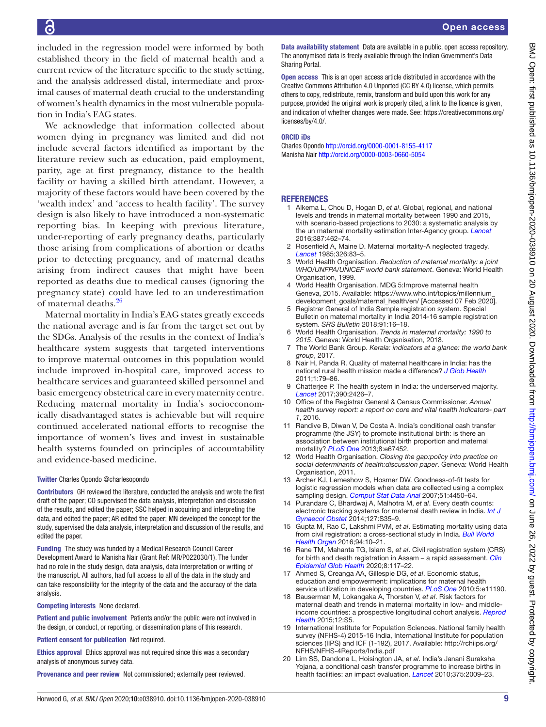included in the regression model were informed by both established theory in the field of maternal health and a current review of the literature specific to the study setting, and the analysis addressed distal, intermediate and proximal causes of maternal death crucial to the understanding of women's health dynamics in the most vulnerable population in India's EAG states.

We acknowledge that information collected about women dying in pregnancy was limited and did not include several factors identified as important by the literature review such as education, paid employment, parity, age at first pregnancy, distance to the health facility or having a skilled birth attendant. However, a majority of these factors would have been covered by the 'wealth index' and 'access to health facility'. The survey design is also likely to have introduced a non-systematic reporting bias. In keeping with previous literature, under-reporting of early pregnancy deaths, particularly those arising from complications of abortion or deaths prior to detecting pregnancy, and of maternal deaths arising from indirect causes that might have been reported as deaths due to medical causes (ignoring the pregnancy state) could have led to an underestimation of maternal deaths.[26](#page-9-4)

Maternal mortality in India's EAG states greatly exceeds the national average and is far from the target set out by the SDGs. Analysis of the results in the context of India's healthcare system suggests that targeted interventions to improve maternal outcomes in this population would include improved in-hospital care, improved access to healthcare services and guaranteed skilled personnel and basic emergency obstetrical care in every maternity centre. Reducing maternal mortality in India's socioeconomically disadvantaged states is achievable but will require continued accelerated national efforts to recognise the importance of women's lives and invest in sustainable health systems founded on principles of accountability and evidence-based medicine.

#### Twitter Charles Opondo [@charlesopondo](https://twitter.com/charlesopondo)

Contributors GH reviewed the literature, conducted the analysis and wrote the first draft of the paper; CO supervised the data analysis, interpretation and discussion of the results, and edited the paper; SSC helped in acquiring and interpreting the data, and edited the paper; AR edited the paper; MN developed the concept for the study, supervised the data analysis, interpretation and discussion of the results, and edited the paper.

Funding The study was funded by a Medical Research Council Career Development Award to Manisha Nair (Grant Ref: MR/P022030/1). The funder had no role in the study design, data analysis, data interpretation or writing of the manuscript. All authors, had full access to all of the data in the study and can take responsibility for the integrity of the data and the accuracy of the data analysis.

#### Competing interests None declared.

Patient and public involvement Patients and/or the public were not involved in the design, or conduct, or reporting, or dissemination plans of this research.

Patient consent for publication Not required.

Ethics approval Ethics approval was not required since this was a secondary analysis of anonymous survey data.

Provenance and peer review Not commissioned; externally peer reviewed.

Data availability statement Data are available in a public, open access repository. The anonymised data is freely available through the Indian Government's Data Sharing Portal.

Open access This is an open access article distributed in accordance with the Creative Commons Attribution 4.0 Unported (CC BY 4.0) license, which permits others to copy, redistribute, remix, transform and build upon this work for any purpose, provided the original work is properly cited, a link to the licence is given, and indication of whether changes were made. See: [https://creativecommons.org/](https://creativecommons.org/licenses/by/4.0/) [licenses/by/4.0/](https://creativecommons.org/licenses/by/4.0/).

#### ORCID iDs

Charles Opondo <http://orcid.org/0000-0001-8155-4117> Manisha Nair <http://orcid.org/0000-0003-0660-5054>

#### REFERENCES

- <span id="page-8-0"></span>1 Alkema L, Chou D, Hogan D, *et al*. Global, regional, and national levels and trends in maternal mortality between 1990 and 2015, with scenario-based projections to 2030: a systematic analysis by the un maternal mortality estimation Inter-Agency group. *[Lancet](http://dx.doi.org/10.1016/S0140-6736(15)00838-7)* 2016;387:462–74.
- <span id="page-8-1"></span>2 Rosenfield A, Maine D. Maternal mortality-A neglected tragedy. *[Lancet](http://dx.doi.org/10.1016/S0140-6736(85)90188-6)* 1985;326:83–5.
- 3 World Health Organisation. *Reduction of maternal mortality: a joint WHO/UNFPA/UNICEF world bank statement*. Geneva: World Health Organisation, 1999.
- <span id="page-8-2"></span>4 World Health Organisation. MDG 5:Improve maternal health Geneva, 2015. Available: [https://www.who.int/topics/millennium\\_](https://www.who.int/topics/millennium_development_goals/maternal_health/en/) [development\\_goals/maternal\\_health/en/](https://www.who.int/topics/millennium_development_goals/maternal_health/en/) [Accessed 07 Feb 2020].
- <span id="page-8-3"></span>5 Registrar General of India Sample registration system. Special Bulletin on maternal mortality in India 2014-16 sample registration system. *SRS Bulletin* 2018;91:16–18.
- <span id="page-8-4"></span>6 World Health Organisation. *Trends in maternal mortality: 1990 to 2015*. Geneva: World Health Organisation, 2018.
- <span id="page-8-5"></span>7 The World Bank Group. *Kerala: indicators at a glance: the world bank group*, 2017.
- <span id="page-8-6"></span>Nair H, Panda R. Quality of maternal healthcare in India: has the national rural health mission made a difference? *[J Glob Health](http://www.ncbi.nlm.nih.gov/pubmed/23198105)* 2011;1:79–86.
- <span id="page-8-7"></span>9 Chatterjee P. The health system in India: the underserved majority. *[Lancet](http://dx.doi.org/10.1016/S0140-6736(17)32860-X)* 2017;390:2426–7.
- <span id="page-8-8"></span>10 Office of the Registrar General & Census Commissioner. *Annual health survey report: a report on core and vital health indicators- part 1*, 2016.
- <span id="page-8-9"></span>11 Randive B, Diwan V, De Costa A. India's conditional cash transfer programme (the JSY) to promote institutional birth: is there an association between institutional birth proportion and maternal mortality? *[PLoS One](http://dx.doi.org/10.1371/journal.pone.0067452)* 2013;8:e67452.
- <span id="page-8-10"></span>12 World Health Organisation. *Closing the gap:policy into practice on social determinants of health:discussion paper*. Geneva: World Health Organisation, 2011.
- <span id="page-8-11"></span>13 Archer KJ, Lemeshow S, Hosmer DW. Goodness-of-fit tests for logistic regression models when data are collected using a complex sampling design. *[Comput Stat Data Anal](http://dx.doi.org/10.1016/j.csda.2006.07.006)* 2007;51:4450–64.
- <span id="page-8-12"></span>14 Purandare C, Bhardwaj A, Malhotra M, *et al*. Every death counts: electronic tracking systems for maternal death review in India. *[Int J](http://dx.doi.org/10.1016/j.ijgo.2014.09.003)  [Gynaecol Obstet](http://dx.doi.org/10.1016/j.ijgo.2014.09.003)* 2014;127:S35–9.
- <span id="page-8-13"></span>15 Gupta M, Rao C, Lakshmi PVM, *et al*. Estimating mortality using data from civil registration: a cross-sectional study in India. *[Bull World](http://dx.doi.org/10.2471/BLT.15.153585)  [Health Organ](http://dx.doi.org/10.2471/BLT.15.153585)* 2016;94:10–21.
- 16 Rane TM, Mahanta TG, Islam S, *et al*. Civil registration system (CRS) for birth and death registration in Assam – a rapid assessment. *[Clin](http://dx.doi.org/10.1016/j.cegh.2019.05.006)  [Epidemiol Glob Health](http://dx.doi.org/10.1016/j.cegh.2019.05.006)* 2020;8:117–22.
- <span id="page-8-14"></span>17 Ahmed S, Creanga AA, Gillespie DG, *et al*. Economic status, education and empowerment: implications for maternal health service utilization in developing countries. *[PLoS One](http://dx.doi.org/10.1371/journal.pone.0011190)* 2010;5:e11190.
- 18 Bauserman M, Lokangaka A, Thorsten V, *et al*. Risk factors for maternal death and trends in maternal mortality in low- and middleincome countries: a prospective longitudinal cohort analysis. *[Reprod](http://dx.doi.org/10.1186/1742-4755-12-S2-S5)  [Health](http://dx.doi.org/10.1186/1742-4755-12-S2-S5)* 2015;12:S5.
- <span id="page-8-15"></span>19 International Institute for Population Sciences. National family health survey (NFHS-4) 2015-16 India, International Institute for population sciences (IIPS) and ICF (1-192), 2017. Available: [http://rchiips.org/](http://rchiips.org/NFHS/NFHS-4Reports/India.pdf) [NFHS/NFHS-4Reports/India.pdf](http://rchiips.org/NFHS/NFHS-4Reports/India.pdf)
- 20 Lim SS, Dandona L, Hoisington JA, *et al*. India's Janani Suraksha Yojana, a conditional cash transfer programme to increase births in health facilities: an impact evaluation. *[Lancet](http://dx.doi.org/10.1016/S0140-6736(10)60744-1)* 2010;375:2009–23.